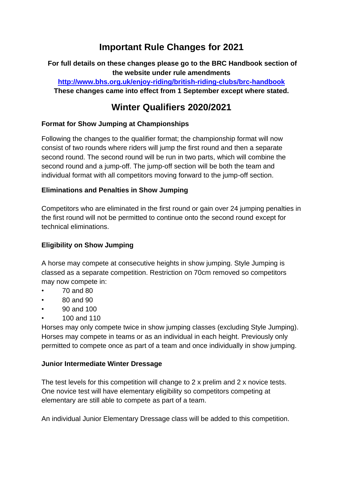# **Important Rule Changes for 2021**

**For full details on these changes please go to the BRC Handbook section of the website under rule amendments <http://www.bhs.org.uk/enjoy-riding/british-riding-clubs/brc-handbook> These changes came into effect from 1 September except where stated.**

## **Winter Qualifiers 2020/2021**

## **Format for Show Jumping at Championships**

Following the changes to the qualifier format; the championship format will now consist of two rounds where riders will jump the first round and then a separate second round. The second round will be run in two parts, which will combine the second round and a jump-off. The jump-off section will be both the team and individual format with all competitors moving forward to the jump-off section.

## **Eliminations and Penalties in Show Jumping**

Competitors who are eliminated in the first round or gain over 24 jumping penalties in the first round will not be permitted to continue onto the second round except for technical eliminations.

## **Eligibility on Show Jumping**

A horse may compete at consecutive heights in show jumping. Style Jumping is classed as a separate competition. Restriction on 70cm removed so competitors may now compete in:

- 70 and 80
- 80 and 90
- 90 and 100
- 100 and 110

Horses may only compete twice in show jumping classes (excluding Style Jumping). Horses may compete in teams or as an individual in each height. Previously only permitted to compete once as part of a team and once individually in show jumping.

#### **Junior Intermediate Winter Dressage**

The test levels for this competition will change to 2 x prelim and 2 x novice tests. One novice test will have elementary eligibility so competitors competing at elementary are still able to compete as part of a team.

An individual Junior Elementary Dressage class will be added to this competition.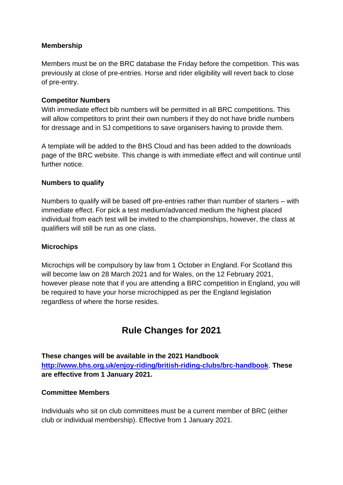## **Membership**

Members must be on the BRC database the Friday before the competition. This was previously at close of pre-entries. Horse and rider eligibility will revert back to close of pre-entry.

#### **Competitor Numbers**

With immediate effect bib numbers will be permitted in all BRC competitions. This will allow competitors to print their own numbers if they do not have bridle numbers for dressage and in SJ competitions to save organisers having to provide them.

A template will be added to the BHS Cloud and has been added to the downloads page of the BRC website. This change is with immediate effect and will continue until further notice.

#### **Numbers to qualify**

Numbers to qualify will be based off pre-entries rather than number of starters – with immediate effect. For pick a test medium/advanced medium the highest placed individual from each test will be invited to the championships, however, the class at qualifiers will still be run as one class.

#### **Microchips**

Microchips will be compulsory by law from 1 October in England. For Scotland this will become law on 28 March 2021 and for Wales, on the 12 February 2021, however please note that if you are attending a BRC competition in England, you will be required to have your horse microchipped as per the England legislation regardless of where the horse resides.

## **Rule Changes for 2021**

**These changes will be available in the 2021 Handbook <http://www.bhs.org.uk/enjoy-riding/british-riding-clubs/brc-handbook>**. **These are effective from 1 January 2021.**

#### **Committee Members**

Individuals who sit on club committees must be a current member of BRC (either club or individual membership). Effective from 1 January 2021.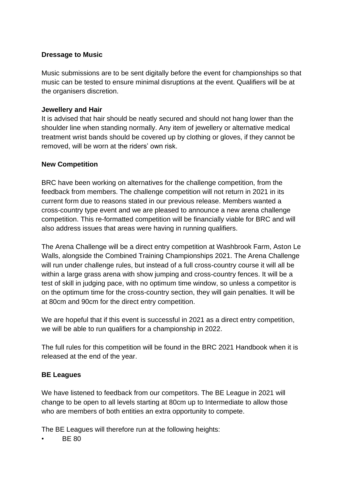## **Dressage to Music**

Music submissions are to be sent digitally before the event for championships so that music can be tested to ensure minimal disruptions at the event. Qualifiers will be at the organisers discretion.

#### **Jewellery and Hair**

It is advised that hair should be neatly secured and should not hang lower than the shoulder line when standing normally. Any item of jewellery or alternative medical treatment wrist bands should be covered up by clothing or gloves, if they cannot be removed, will be worn at the riders' own risk.

## **New Competition**

BRC have been working on alternatives for the challenge competition, from the feedback from members. The challenge competition will not return in 2021 in its current form due to reasons stated in our previous release. Members wanted a cross-country type event and we are pleased to announce a new arena challenge competition. This re-formatted competition will be financially viable for BRC and will also address issues that areas were having in running qualifiers.

The Arena Challenge will be a direct entry competition at Washbrook Farm, Aston Le Walls, alongside the Combined Training Championships 2021. The Arena Challenge will run under challenge rules, but instead of a full cross-country course it will all be within a large grass arena with show jumping and cross-country fences. It will be a test of skill in judging pace, with no optimum time window, so unless a competitor is on the optimum time for the cross-country section, they will gain penalties. It will be at 80cm and 90cm for the direct entry competition.

We are hopeful that if this event is successful in 2021 as a direct entry competition, we will be able to run qualifiers for a championship in 2022.

The full rules for this competition will be found in the BRC 2021 Handbook when it is released at the end of the year.

## **BE Leagues**

We have listened to feedback from our competitors. The BE League in 2021 will change to be open to all levels starting at 80cm up to Intermediate to allow those who are members of both entities an extra opportunity to compete.

The BE Leagues will therefore run at the following heights:

• BE 80